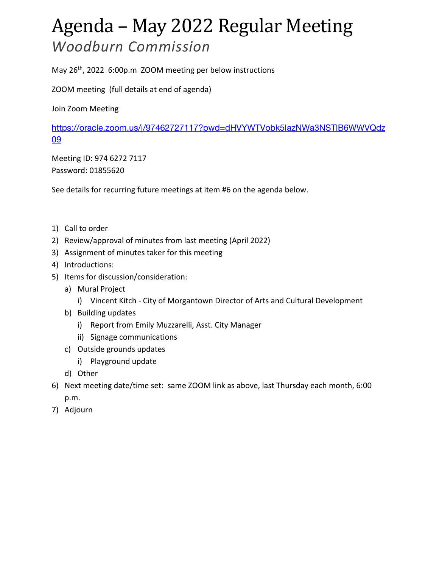## Agenda – May 2022 Regular Meeting *Woodburn Commission*

May 26<sup>th</sup>, 2022 6:00p.m ZOOM meeting per below instructions

ZOOM meeting (full details at end of agenda)

Join Zoom Meeting

https://oracle.zoom.us/j/97462727117?pwd=dHVYWTVobk5IazNWa3NSTlB6WWVQdz 09

Meeting ID: 974 6272 7117 Password: 01855620

See details for recurring future meetings at item #6 on the agenda below.

- 1) Call to order
- 2) Review/approval of minutes from last meeting (April 2022)
- 3) Assignment of minutes taker for this meeting
- 4) Introductions:
- 5) Items for discussion/consideration:
	- a) Mural Project
		- i) Vincent Kitch City of Morgantown Director of Arts and Cultural Development
	- b) Building updates
		- i) Report from Emily Muzzarelli, Asst. City Manager
		- ii) Signage communications
	- c) Outside grounds updates
		- i) Playground update
	- d) Other
- 6) Next meeting date/time set: same ZOOM link as above, last Thursday each month, 6:00 p.m.
- 7) Adjourn